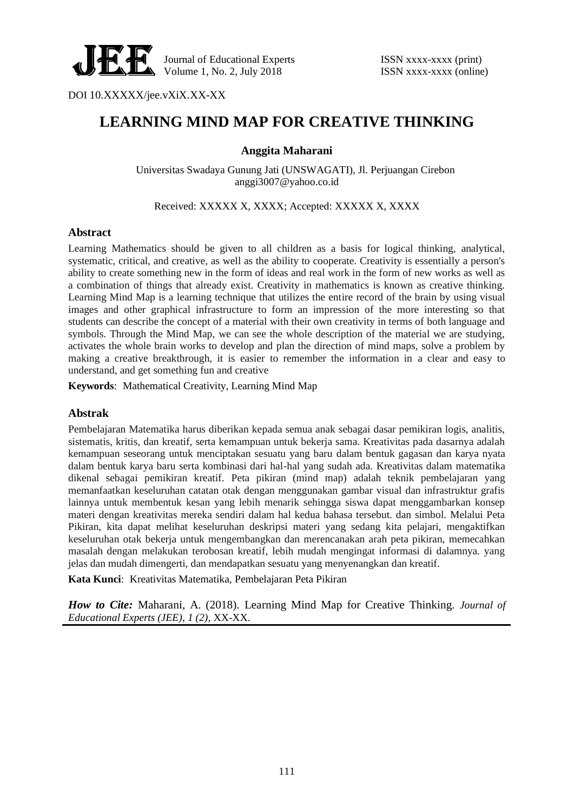

DOI 10.XXXXX/jee.vXiX.XX-XX

# **LEARNING MIND MAP FOR CREATIVE THINKING**

#### **Anggita Maharani**

Universitas Swadaya Gunung Jati (UNSWAGATI), Jl. Perjuangan Cirebon anggi3007@yahoo.co.id

Received: XXXXX X, XXXX; Accepted: XXXXX X, XXXX

#### **Abstract**

Learning Mathematics should be given to all children as a basis for logical thinking, analytical, systematic, critical, and creative, as well as the ability to cooperate. Creativity is essentially a person's ability to create something new in the form of ideas and real work in the form of new works as well as a combination of things that already exist. Creativity in mathematics is known as creative thinking. Learning Mind Map is a learning technique that utilizes the entire record of the brain by using visual images and other graphical infrastructure to form an impression of the more interesting so that students can describe the concept of a material with their own creativity in terms of both language and symbols. Through the Mind Map, we can see the whole description of the material we are studying, activates the whole brain works to develop and plan the direction of mind maps, solve a problem by making a creative breakthrough, it is easier to remember the information in a clear and easy to understand, and get something fun and creative

**Keywords**: Mathematical Creativity, Learning Mind Map

#### **Abstrak**

Pembelajaran Matematika harus diberikan kepada semua anak sebagai dasar pemikiran logis, analitis, sistematis, kritis, dan kreatif, serta kemampuan untuk bekerja sama. Kreativitas pada dasarnya adalah kemampuan seseorang untuk menciptakan sesuatu yang baru dalam bentuk gagasan dan karya nyata dalam bentuk karya baru serta kombinasi dari hal-hal yang sudah ada. Kreativitas dalam matematika dikenal sebagai pemikiran kreatif. Peta pikiran (mind map) adalah teknik pembelajaran yang memanfaatkan keseluruhan catatan otak dengan menggunakan gambar visual dan infrastruktur grafis lainnya untuk membentuk kesan yang lebih menarik sehingga siswa dapat menggambarkan konsep materi dengan kreativitas mereka sendiri dalam hal kedua bahasa tersebut. dan simbol. Melalui Peta Pikiran, kita dapat melihat keseluruhan deskripsi materi yang sedang kita pelajari, mengaktifkan keseluruhan otak bekerja untuk mengembangkan dan merencanakan arah peta pikiran, memecahkan masalah dengan melakukan terobosan kreatif, lebih mudah mengingat informasi di dalamnya. yang jelas dan mudah dimengerti, dan mendapatkan sesuatu yang menyenangkan dan kreatif.

**Kata Kunci**: Kreativitas Matematika, Pembelajaran Peta Pikiran

*How to Cite:* Maharani, A. (2018). Learning Mind Map for Creative Thinking. *Journal of Educational Experts (JEE), 1 (2),* XX-XX.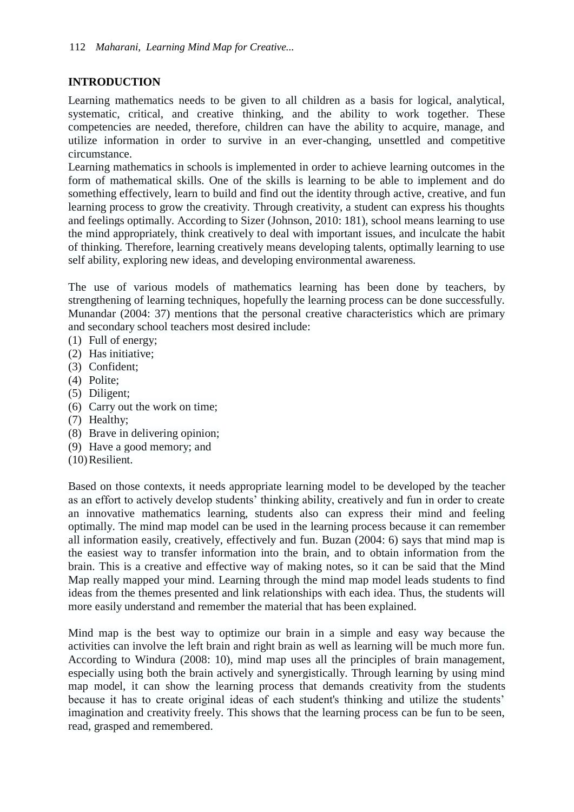# **INTRODUCTION**

Learning mathematics needs to be given to all children as a basis for logical, analytical, systematic, critical, and creative thinking, and the ability to work together. These competencies are needed, therefore, children can have the ability to acquire, manage, and utilize information in order to survive in an ever-changing, unsettled and competitive circumstance.

Learning mathematics in schools is implemented in order to achieve learning outcomes in the form of mathematical skills. One of the skills is learning to be able to implement and do something effectively, learn to build and find out the identity through active, creative, and fun learning process to grow the creativity. Through creativity, a student can express his thoughts and feelings optimally. According to Sizer (Johnson, 2010: 181), school means learning to use the mind appropriately, think creatively to deal with important issues, and inculcate the habit of thinking. Therefore, learning creatively means developing talents, optimally learning to use self ability, exploring new ideas, and developing environmental awareness.

The use of various models of mathematics learning has been done by teachers, by strengthening of learning techniques, hopefully the learning process can be done successfully. Munandar (2004: 37) mentions that the personal creative characteristics which are primary and secondary school teachers most desired include:

- (1) Full of energy;
- (2) Has initiative;
- (3) Confident;
- (4) Polite;
- (5) Diligent;
- (6) Carry out the work on time;
- (7) Healthy;
- (8) Brave in delivering opinion;
- (9) Have a good memory; and
- (10)Resilient.

Based on those contexts, it needs appropriate learning model to be developed by the teacher as an effort to actively develop students' thinking ability, creatively and fun in order to create an innovative mathematics learning, students also can express their mind and feeling optimally. The mind map model can be used in the learning process because it can remember all information easily, creatively, effectively and fun. Buzan (2004: 6) says that mind map is the easiest way to transfer information into the brain, and to obtain information from the brain. This is a creative and effective way of making notes, so it can be said that the Mind Map really mapped your mind. Learning through the mind map model leads students to find ideas from the themes presented and link relationships with each idea. Thus, the students will more easily understand and remember the material that has been explained.

Mind map is the best way to optimize our brain in a simple and easy way because the activities can involve the left brain and right brain as well as learning will be much more fun. According to Windura (2008: 10), mind map uses all the principles of brain management, especially using both the brain actively and synergistically. Through learning by using mind map model, it can show the learning process that demands creativity from the students because it has to create original ideas of each student's thinking and utilize the students' imagination and creativity freely. This shows that the learning process can be fun to be seen, read, grasped and remembered.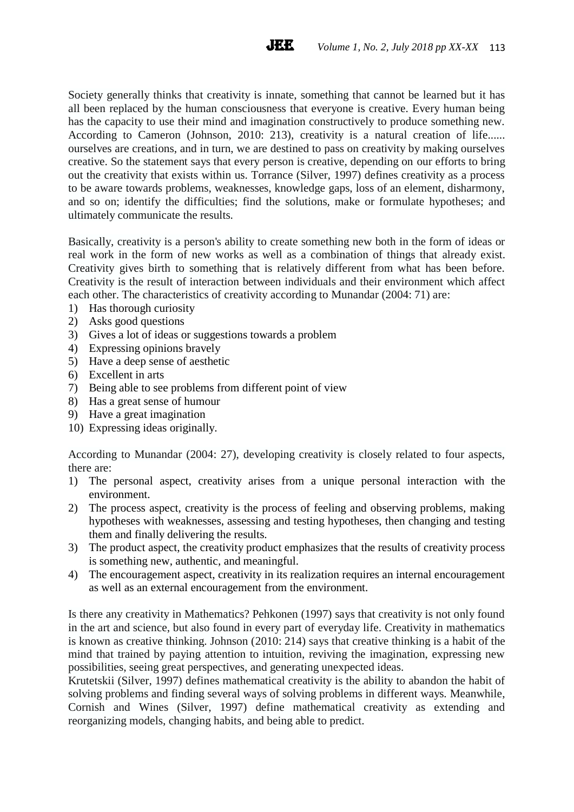Society generally thinks that creativity is innate, something that cannot be learned but it has all been replaced by the human consciousness that everyone is creative. Every human being has the capacity to use their mind and imagination constructively to produce something new. According to Cameron (Johnson, 2010: 213), creativity is a natural creation of life...... ourselves are creations, and in turn, we are destined to pass on creativity by making ourselves creative. So the statement says that every person is creative, depending on our efforts to bring out the creativity that exists within us. Torrance (Silver, 1997) defines creativity as a process to be aware towards problems, weaknesses, knowledge gaps, loss of an element, disharmony, and so on; identify the difficulties; find the solutions, make or formulate hypotheses; and ultimately communicate the results.

**JEE** 

Basically, creativity is a person's ability to create something new both in the form of ideas or real work in the form of new works as well as a combination of things that already exist. Creativity gives birth to something that is relatively different from what has been before. Creativity is the result of interaction between individuals and their environment which affect each other. The characteristics of creativity according to Munandar (2004: 71) are:

- 1) Has thorough curiosity
- 2) Asks good questions
- 3) Gives a lot of ideas or suggestions towards a problem
- 4) Expressing opinions bravely
- 5) Have a deep sense of aesthetic
- 6) Excellent in arts
- 7) Being able to see problems from different point of view
- 8) Has a great sense of humour
- 9) Have a great imagination
- 10) Expressing ideas originally.

According to Munandar (2004: 27), developing creativity is closely related to four aspects, there are:

- 1) The personal aspect, creativity arises from a unique personal interaction with the environment.
- 2) The process aspect, creativity is the process of feeling and observing problems, making hypotheses with weaknesses, assessing and testing hypotheses, then changing and testing them and finally delivering the results.
- 3) The product aspect, the creativity product emphasizes that the results of creativity process is something new, authentic, and meaningful.
- 4) The encouragement aspect, creativity in its realization requires an internal encouragement as well as an external encouragement from the environment.

Is there any creativity in Mathematics? Pehkonen (1997) says that creativity is not only found in the art and science, but also found in every part of everyday life. Creativity in mathematics is known as creative thinking. Johnson (2010: 214) says that creative thinking is a habit of the mind that trained by paying attention to intuition, reviving the imagination, expressing new possibilities, seeing great perspectives, and generating unexpected ideas.

Krutetskii (Silver, 1997) defines mathematical creativity is the ability to abandon the habit of solving problems and finding several ways of solving problems in different ways. Meanwhile, Cornish and Wines (Silver, 1997) define mathematical creativity as extending and reorganizing models, changing habits, and being able to predict.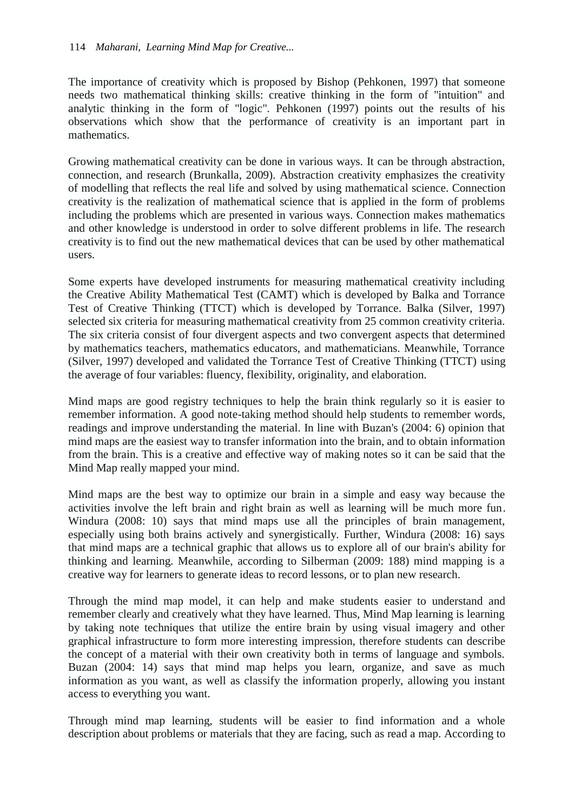The importance of creativity which is proposed by Bishop (Pehkonen, 1997) that someone needs two mathematical thinking skills: creative thinking in the form of "intuition" and analytic thinking in the form of "logic". Pehkonen (1997) points out the results of his observations which show that the performance of creativity is an important part in mathematics.

Growing mathematical creativity can be done in various ways. It can be through abstraction, connection, and research (Brunkalla, 2009). Abstraction creativity emphasizes the creativity of modelling that reflects the real life and solved by using mathematical science. Connection creativity is the realization of mathematical science that is applied in the form of problems including the problems which are presented in various ways. Connection makes mathematics and other knowledge is understood in order to solve different problems in life. The research creativity is to find out the new mathematical devices that can be used by other mathematical users.

Some experts have developed instruments for measuring mathematical creativity including the Creative Ability Mathematical Test (CAMT) which is developed by Balka and Torrance Test of Creative Thinking (TTCT) which is developed by Torrance. Balka (Silver, 1997) selected six criteria for measuring mathematical creativity from 25 common creativity criteria. The six criteria consist of four divergent aspects and two convergent aspects that determined by mathematics teachers, mathematics educators, and mathematicians. Meanwhile, Torrance (Silver, 1997) developed and validated the Torrance Test of Creative Thinking (TTCT) using the average of four variables: fluency, flexibility, originality, and elaboration.

Mind maps are good registry techniques to help the brain think regularly so it is easier to remember information. A good note-taking method should help students to remember words, readings and improve understanding the material. In line with Buzan's (2004: 6) opinion that mind maps are the easiest way to transfer information into the brain, and to obtain information from the brain. This is a creative and effective way of making notes so it can be said that the Mind Map really mapped your mind.

Mind maps are the best way to optimize our brain in a simple and easy way because the activities involve the left brain and right brain as well as learning will be much more fun. Windura (2008: 10) says that mind maps use all the principles of brain management, especially using both brains actively and synergistically. Further, Windura (2008: 16) says that mind maps are a technical graphic that allows us to explore all of our brain's ability for thinking and learning. Meanwhile, according to Silberman (2009: 188) mind mapping is a creative way for learners to generate ideas to record lessons, or to plan new research.

Through the mind map model, it can help and make students easier to understand and remember clearly and creatively what they have learned. Thus, Mind Map learning is learning by taking note techniques that utilize the entire brain by using visual imagery and other graphical infrastructure to form more interesting impression, therefore students can describe the concept of a material with their own creativity both in terms of language and symbols. Buzan (2004: 14) says that mind map helps you learn, organize, and save as much information as you want, as well as classify the information properly, allowing you instant access to everything you want.

Through mind map learning, students will be easier to find information and a whole description about problems or materials that they are facing, such as read a map. According to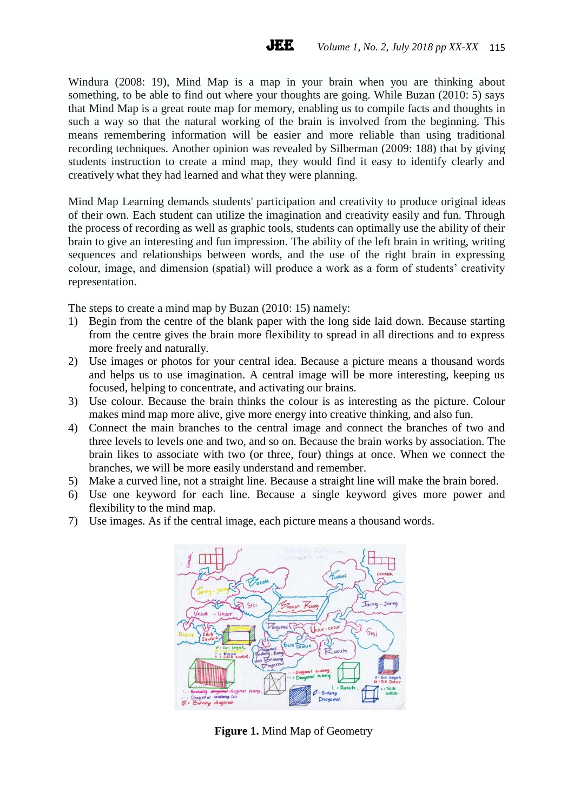Windura (2008: 19), Mind Map is a map in your brain when you are thinking about something, to be able to find out where your thoughts are going. While Buzan (2010: 5) says that Mind Map is a great route map for memory, enabling us to compile facts and thoughts in such a way so that the natural working of the brain is involved from the beginning. This means remembering information will be easier and more reliable than using traditional recording techniques. Another opinion was revealed by Silberman (2009: 188) that by giving students instruction to create a mind map, they would find it easy to identify clearly and creatively what they had learned and what they were planning.

Mind Map Learning demands students' participation and creativity to produce original ideas of their own. Each student can utilize the imagination and creativity easily and fun. Through the process of recording as well as graphic tools, students can optimally use the ability of their brain to give an interesting and fun impression. The ability of the left brain in writing, writing sequences and relationships between words, and the use of the right brain in expressing colour, image, and dimension (spatial) will produce a work as a form of students' creativity representation.

The steps to create a mind map by Buzan (2010: 15) namely:

- 1) Begin from the centre of the blank paper with the long side laid down. Because starting from the centre gives the brain more flexibility to spread in all directions and to express more freely and naturally.
- 2) Use images or photos for your central idea. Because a picture means a thousand words and helps us to use imagination. A central image will be more interesting, keeping us focused, helping to concentrate, and activating our brains.
- 3) Use colour. Because the brain thinks the colour is as interesting as the picture. Colour makes mind map more alive, give more energy into creative thinking, and also fun.
- 4) Connect the main branches to the central image and connect the branches of two and three levels to levels one and two, and so on. Because the brain works by association. The brain likes to associate with two (or three, four) things at once. When we connect the branches, we will be more easily understand and remember.
- 5) Make a curved line, not a straight line. Because a straight line will make the brain bored.
- 6) Use one keyword for each line. Because a single keyword gives more power and flexibility to the mind map.
- 7) Use images. As if the central image, each picture means a thousand words.



**Figure 1.** Mind Map of Geometry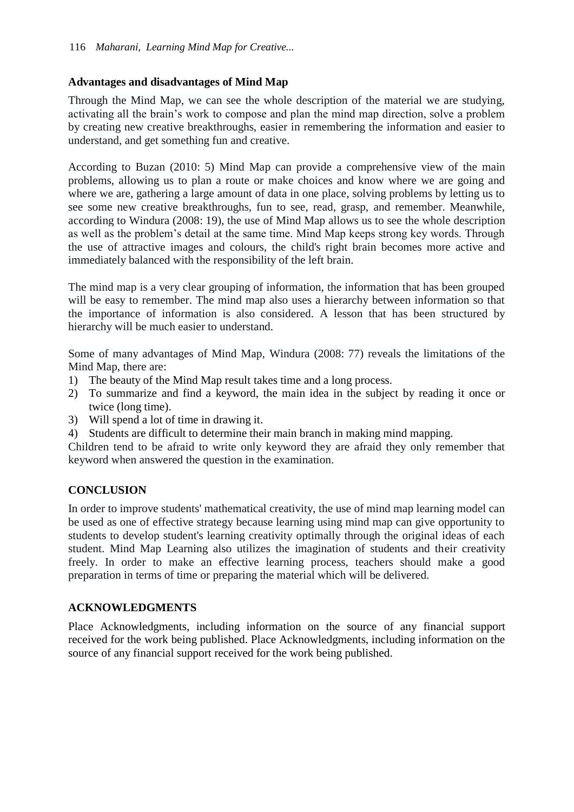## **Advantages and disadvantages of Mind Map**

Through the Mind Map, we can see the whole description of the material we are studying, activating all the brain's work to compose and plan the mind map direction, solve a problem by creating new creative breakthroughs, easier in remembering the information and easier to understand, and get something fun and creative.

According to Buzan (2010: 5) Mind Map can provide a comprehensive view of the main problems, allowing us to plan a route or make choices and know where we are going and where we are, gathering a large amount of data in one place, solving problems by letting us to see some new creative breakthroughs, fun to see, read, grasp, and remember. Meanwhile, according to Windura (2008: 19), the use of Mind Map allows us to see the whole description as well as the problem's detail at the same time. Mind Map keeps strong key words. Through the use of attractive images and colours, the child's right brain becomes more active and immediately balanced with the responsibility of the left brain.

The mind map is a very clear grouping of information, the information that has been grouped will be easy to remember. The mind map also uses a hierarchy between information so that the importance of information is also considered. A lesson that has been structured by hierarchy will be much easier to understand.

Some of many advantages of Mind Map, Windura (2008: 77) reveals the limitations of the Mind Map, there are:

- 1) The beauty of the Mind Map result takes time and a long process.
- 2) To summarize and find a keyword, the main idea in the subject by reading it once or twice (long time).
- 3) Will spend a lot of time in drawing it.
- 4) Students are difficult to determine their main branch in making mind mapping.

Children tend to be afraid to write only keyword they are afraid they only remember that keyword when answered the question in the examination.

# **CONCLUSION**

In order to improve students' mathematical creativity, the use of mind map learning model can be used as one of effective strategy because learning using mind map can give opportunity to students to develop student's learning creativity optimally through the original ideas of each student. Mind Map Learning also utilizes the imagination of students and their creativity freely. In order to make an effective learning process, teachers should make a good preparation in terms of time or preparing the material which will be delivered.

# **ACKNOWLEDGMENTS**

Place Acknowledgments, including information on the source of any financial support received for the work being published. Place Acknowledgments, including information on the source of any financial support received for the work being published.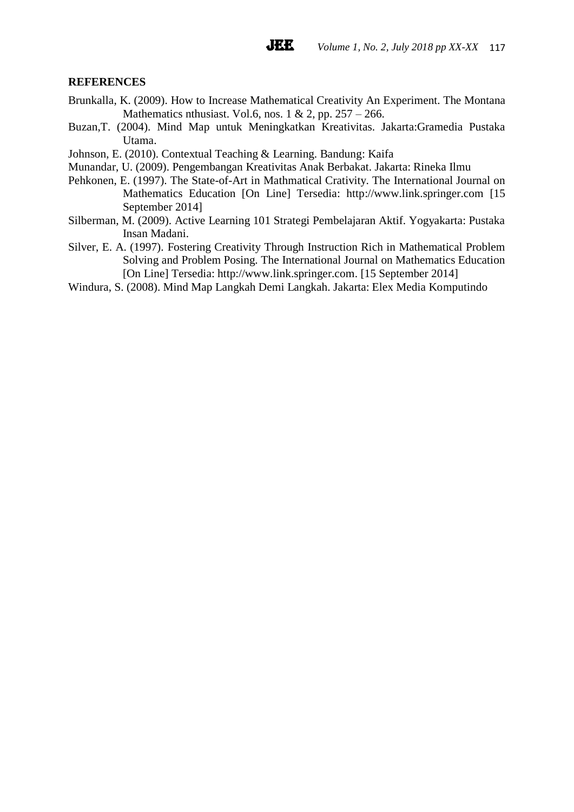## **REFERENCES**

- Brunkalla, K. (2009). How to Increase Mathematical Creativity An Experiment. The Montana Mathematics nthusiast. Vol.6, nos. 1 & 2, pp.  $257 - 266$ .
- Buzan,T. (2004). Mind Map untuk Meningkatkan Kreativitas. Jakarta:Gramedia Pustaka Utama.
- Johnson, E. (2010). Contextual Teaching & Learning. Bandung: Kaifa
- Munandar, U. (2009). Pengembangan Kreativitas Anak Berbakat. Jakarta: Rineka Ilmu
- Pehkonen, E. (1997). The State-of-Art in Mathmatical Crativity. The International Journal on Mathematics Education [On Line] Tersedia: [http://www.link.springer.com](http://www.link.springer.com/) [15 September 2014]
- Silberman, M. (2009). Active Learning 101 Strategi Pembelajaran Aktif. Yogyakarta: Pustaka Insan Madani.
- Silver, E. A. (1997). Fostering Creativity Through Instruction Rich in Mathematical Problem Solving and Problem Posing. The International Journal on Mathematics Education [On Line] Tersedia: [http://www.link.springer.com.](http://www.link.springer.com/) [15 September 2014]
- Windura, S. (2008). Mind Map Langkah Demi Langkah. Jakarta: Elex Media Komputindo